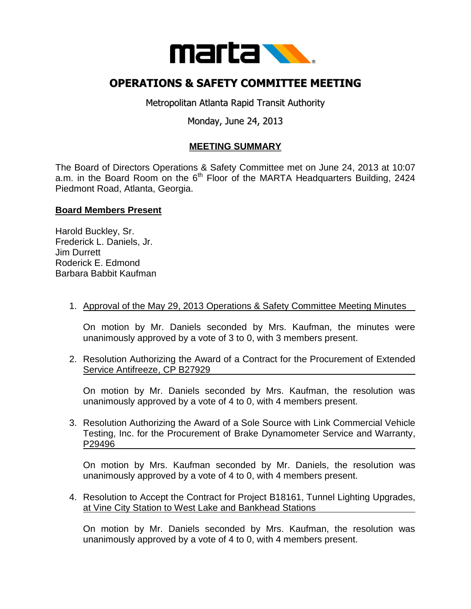

# **OPERATIONS & SAFETY COMMITTEE MEETING**

Metropolitan Atlanta Rapid Transit Authority

## Monday, June 24, 2013

## **MEETING SUMMARY**

The Board of Directors Operations & Safety Committee met on June 24, 2013 at 10:07 a.m. in the Board Room on the  $6<sup>th</sup>$  Floor of the MARTA Headquarters Building, 2424 Piedmont Road, Atlanta, Georgia.

#### **Board Members Present**

Harold Buckley, Sr. Frederick L. Daniels, Jr. Jim Durrett Roderick E. Edmond Barbara Babbit Kaufman

1. Approval of the May 29, 2013 Operations & Safety Committee Meeting Minutes

On motion by Mr. Daniels seconded by Mrs. Kaufman, the minutes were unanimously approved by a vote of 3 to 0, with 3 members present.

2. Resolution Authorizing the Award of a Contract for the Procurement of Extended Service Antifreeze, CP B27929

On motion by Mr. Daniels seconded by Mrs. Kaufman, the resolution was unanimously approved by a vote of 4 to 0, with 4 members present.

3. Resolution Authorizing the Award of a Sole Source with Link Commercial Vehicle Testing, Inc. for the Procurement of Brake Dynamometer Service and Warranty, P29496

On motion by Mrs. Kaufman seconded by Mr. Daniels, the resolution was unanimously approved by a vote of 4 to 0, with 4 members present.

4. Resolution to Accept the Contract for Project B18161, Tunnel Lighting Upgrades, at Vine City Station to West Lake and Bankhead Stations

On motion by Mr. Daniels seconded by Mrs. Kaufman, the resolution was unanimously approved by a vote of 4 to 0, with 4 members present.